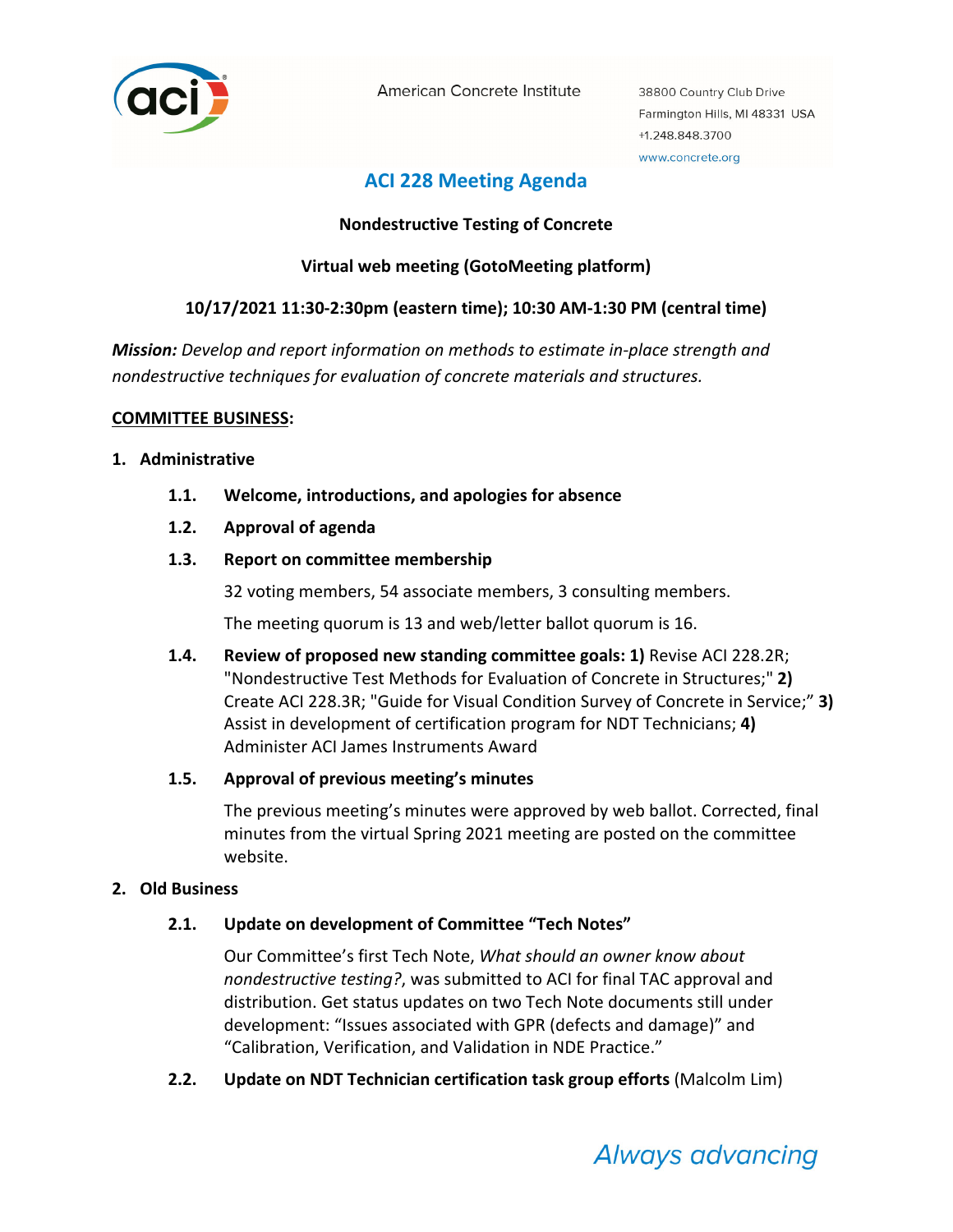

American Concrete Institute

38800 Country Club Drive Farmington Hills, MI 48331 USA +1.248.848.3700 www.concrete.org

# **ACI 228 Meeting Agenda**

# **Nondestructive Testing of Concrete**

# **Virtual web meeting (GotoMeeting platform)**

# **10/17/2021 11:30‐2:30pm (eastern time); 10:30 AM‐1:30 PM (central time)**

*Mission: Develop and report information on methods to estimate in‐place strength and nondestructive techniques for evaluation of concrete materials and structures.*

## **COMMITTEE BUSINESS:**

## **1. Administrative**

- **1.1. Welcome, introductions, and apologies for absence**
- **1.2. Approval of agenda**
- **1.3. Report on committee membership**

32 voting members, 54 associate members, 3 consulting members.

The meeting quorum is 13 and web/letter ballot quorum is 16.

**1.4. Review of proposed new standing committee goals: 1)** Revise ACI 228.2R; "Nondestructive Test Methods for Evaluation of Concrete in Structures;" **2)** Create ACI 228.3R; "Guide for Visual Condition Survey of Concrete in Service;" **3)** Assist in development of certification program for NDT Technicians; **4)** Administer ACI James Instruments Award

# **1.5. Approval of previous meeting's minutes**

The previous meeting's minutes were approved by web ballot. Corrected, final minutes from the virtual Spring 2021 meeting are posted on the committee website.

# **2. Old Business**

# **2.1. Update on development of Committee "Tech Notes"**

Our Committee's first Tech Note, *What should an owner know about nondestructive testing?*, was submitted to ACI for final TAC approval and distribution. Get status updates on two Tech Note documents still under development: "Issues associated with GPR (defects and damage)" and "Calibration, Verification, and Validation in NDE Practice."

**2.2. Update on NDT Technician certification task group efforts** (Malcolm Lim)